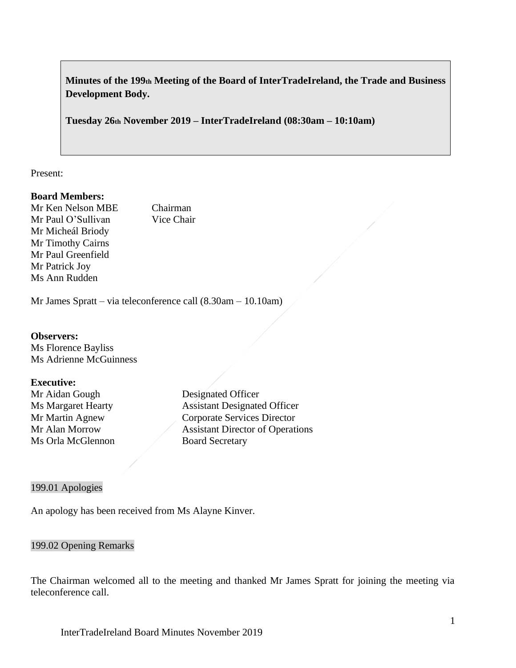**Minutes of the 199th Meeting of the Board of InterTradeIreland, the Trade and Business Development Body.**

**Tuesday 26th November 2019 – InterTradeIreland (08:30am – 10:10am)**

Present:

### **Board Members:**

Mr Ken Nelson MBE Chairman Mr Paul O'Sullivan Vice Chair Mr Micheál Briody Mr Timothy Cairns Mr Paul Greenfield Mr Patrick Joy Ms Ann Rudden

Mr James Spratt – via teleconference call (8.30am – 10.10am)

### **Observers:**

Ms Florence Bayliss Ms Adrienne McGuinness

### **Executive:**

Mr Aidan Gough Designated Officer Ms Orla McGlennon Board Secretary

Ms Margaret Hearty **Assistant Designated Officer** Mr Martin Agnew Corporate Services Director Mr Alan Morrow Assistant Director of Operations

#### 199.01 Apologies

An apology has been received from Ms Alayne Kinver.

### 199.02 Opening Remarks

The Chairman welcomed all to the meeting and thanked Mr James Spratt for joining the meeting via teleconference call.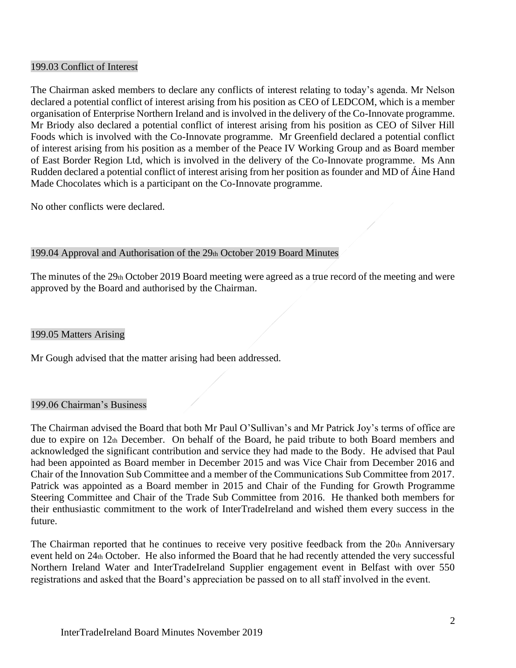### 199.03 Conflict of Interest

The Chairman asked members to declare any conflicts of interest relating to today's agenda. Mr Nelson declared a potential conflict of interest arising from his position as CEO of LEDCOM, which is a member organisation of Enterprise Northern Ireland and is involved in the delivery of the Co-Innovate programme. Mr Briody also declared a potential conflict of interest arising from his position as CEO of Silver Hill Foods which is involved with the Co-Innovate programme. Mr Greenfield declared a potential conflict of interest arising from his position as a member of the Peace IV Working Group and as Board member of East Border Region Ltd, which is involved in the delivery of the Co-Innovate programme. Ms Ann Rudden declared a potential conflict of interest arising from her position as founder and MD of Áine Hand Made Chocolates which is a participant on the Co-Innovate programme.

No other conflicts were declared.

# 199.04 Approval and Authorisation of the 29th October 2019 Board Minutes

The minutes of the 29th October 2019 Board meeting were agreed as a true record of the meeting and were approved by the Board and authorised by the Chairman.

#### 199.05 Matters Arising

Mr Gough advised that the matter arising had been addressed.

### 199.06 Chairman's Business

The Chairman advised the Board that both Mr Paul O'Sullivan's and Mr Patrick Joy's terms of office are due to expire on 12th December. On behalf of the Board, he paid tribute to both Board members and acknowledged the significant contribution and service they had made to the Body. He advised that Paul had been appointed as Board member in December 2015 and was Vice Chair from December 2016 and Chair of the Innovation Sub Committee and a member of the Communications Sub Committee from 2017. Patrick was appointed as a Board member in 2015 and Chair of the Funding for Growth Programme Steering Committee and Chair of the Trade Sub Committee from 2016. He thanked both members for their enthusiastic commitment to the work of InterTradeIreland and wished them every success in the future.

The Chairman reported that he continues to receive very positive feedback from the 20th Anniversary event held on 24th October. He also informed the Board that he had recently attended the very successful Northern Ireland Water and InterTradeIreland Supplier engagement event in Belfast with over 550 registrations and asked that the Board's appreciation be passed on to all staff involved in the event.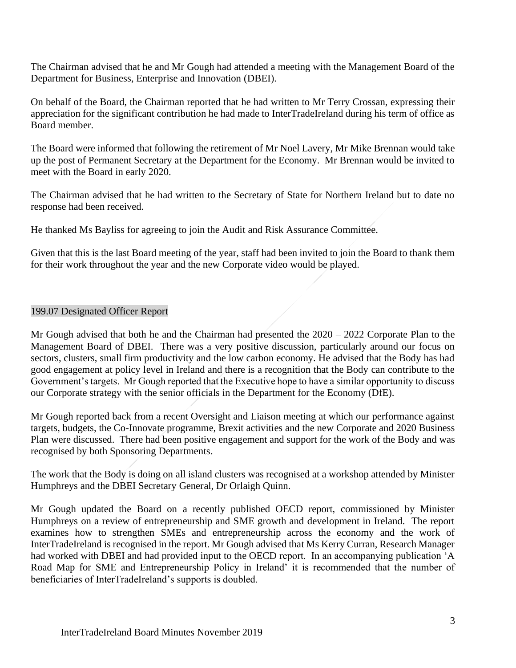The Chairman advised that he and Mr Gough had attended a meeting with the Management Board of the Department for Business, Enterprise and Innovation (DBEI).

On behalf of the Board, the Chairman reported that he had written to Mr Terry Crossan, expressing their appreciation for the significant contribution he had made to InterTradeIreland during his term of office as Board member.

The Board were informed that following the retirement of Mr Noel Lavery, Mr Mike Brennan would take up the post of Permanent Secretary at the Department for the Economy. Mr Brennan would be invited to meet with the Board in early 2020.

The Chairman advised that he had written to the Secretary of State for Northern Ireland but to date no response had been received.

He thanked Ms Bayliss for agreeing to join the Audit and Risk Assurance Committee.

Given that this is the last Board meeting of the year, staff had been invited to join the Board to thank them for their work throughout the year and the new Corporate video would be played.

# 199.07 Designated Officer Report

Mr Gough advised that both he and the Chairman had presented the 2020 – 2022 Corporate Plan to the Management Board of DBEI. There was a very positive discussion, particularly around our focus on sectors, clusters, small firm productivity and the low carbon economy. He advised that the Body has had good engagement at policy level in Ireland and there is a recognition that the Body can contribute to the Government's targets. Mr Gough reported that the Executive hope to have a similar opportunity to discuss our Corporate strategy with the senior officials in the Department for the Economy (DfE).

Mr Gough reported back from a recent Oversight and Liaison meeting at which our performance against targets, budgets, the Co-Innovate programme, Brexit activities and the new Corporate and 2020 Business Plan were discussed. There had been positive engagement and support for the work of the Body and was recognised by both Sponsoring Departments.

The work that the Body is doing on all island clusters was recognised at a workshop attended by Minister Humphreys and the DBEI Secretary General, Dr Orlaigh Quinn.

Mr Gough updated the Board on a recently published OECD report, commissioned by Minister Humphreys on a review of entrepreneurship and SME growth and development in Ireland. The report examines how to strengthen SMEs and entrepreneurship across the economy and the work of InterTradeIreland is recognised in the report. Mr Gough advised that Ms Kerry Curran, Research Manager had worked with DBEI and had provided input to the OECD report. In an accompanying publication 'A Road Map for SME and Entrepreneurship Policy in Ireland' it is recommended that the number of beneficiaries of InterTradeIreland's supports is doubled.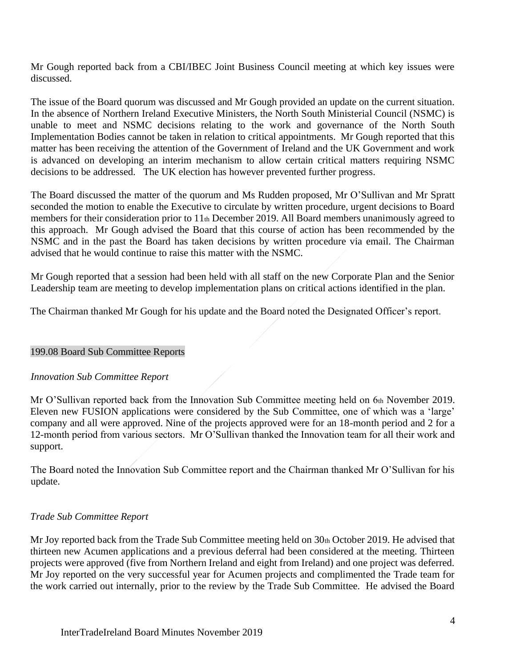Mr Gough reported back from a CBI/IBEC Joint Business Council meeting at which key issues were discussed.

The issue of the Board quorum was discussed and Mr Gough provided an update on the current situation. In the absence of Northern Ireland Executive Ministers, the North South Ministerial Council (NSMC) is unable to meet and NSMC decisions relating to the work and governance of the North South Implementation Bodies cannot be taken in relation to critical appointments. Mr Gough reported that this matter has been receiving the attention of the Government of Ireland and the UK Government and work is advanced on developing an interim mechanism to allow certain critical matters requiring NSMC decisions to be addressed. The UK election has however prevented further progress.

The Board discussed the matter of the quorum and Ms Rudden proposed, Mr O'Sullivan and Mr Spratt seconded the motion to enable the Executive to circulate by written procedure, urgent decisions to Board members for their consideration prior to 11th December 2019. All Board members unanimously agreed to this approach. Mr Gough advised the Board that this course of action has been recommended by the NSMC and in the past the Board has taken decisions by written procedure via email. The Chairman advised that he would continue to raise this matter with the NSMC.

Mr Gough reported that a session had been held with all staff on the new Corporate Plan and the Senior Leadership team are meeting to develop implementation plans on critical actions identified in the plan.

The Chairman thanked Mr Gough for his update and the Board noted the Designated Officer's report.

### 199.08 Board Sub Committee Reports

### *Innovation Sub Committee Report*

Mr O'Sullivan reported back from the Innovation Sub Committee meeting held on 6th November 2019. Eleven new FUSION applications were considered by the Sub Committee, one of which was a 'large' company and all were approved. Nine of the projects approved were for an 18-month period and 2 for a 12-month period from various sectors. Mr O'Sullivan thanked the Innovation team for all their work and support.

The Board noted the Innovation Sub Committee report and the Chairman thanked Mr O'Sullivan for his update.

### *Trade Sub Committee Report*

Mr Joy reported back from the Trade Sub Committee meeting held on 30th October 2019. He advised that thirteen new Acumen applications and a previous deferral had been considered at the meeting. Thirteen projects were approved (five from Northern Ireland and eight from Ireland) and one project was deferred. Mr Joy reported on the very successful year for Acumen projects and complimented the Trade team for the work carried out internally, prior to the review by the Trade Sub Committee. He advised the Board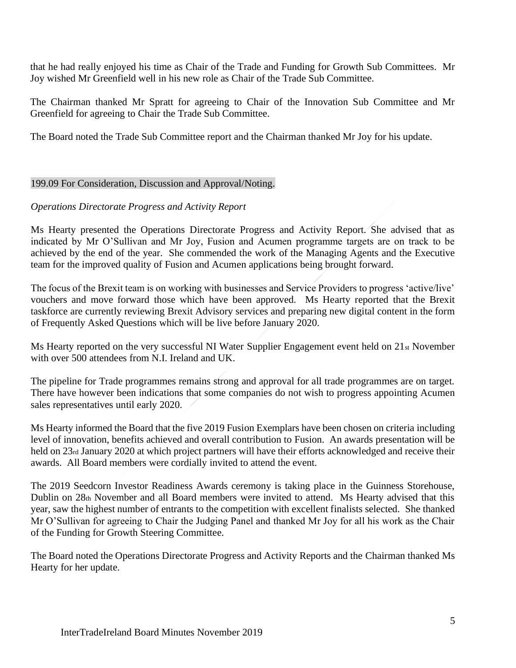that he had really enjoyed his time as Chair of the Trade and Funding for Growth Sub Committees. Mr Joy wished Mr Greenfield well in his new role as Chair of the Trade Sub Committee.

The Chairman thanked Mr Spratt for agreeing to Chair of the Innovation Sub Committee and Mr Greenfield for agreeing to Chair the Trade Sub Committee.

The Board noted the Trade Sub Committee report and the Chairman thanked Mr Joy for his update.

### 199.09 For Consideration, Discussion and Approval/Noting.

### *Operations Directorate Progress and Activity Report*

Ms Hearty presented the Operations Directorate Progress and Activity Report. She advised that as indicated by Mr O'Sullivan and Mr Joy, Fusion and Acumen programme targets are on track to be achieved by the end of the year. She commended the work of the Managing Agents and the Executive team for the improved quality of Fusion and Acumen applications being brought forward.

The focus of the Brexit team is on working with businesses and Service Providers to progress 'active/live' vouchers and move forward those which have been approved. Ms Hearty reported that the Brexit taskforce are currently reviewing Brexit Advisory services and preparing new digital content in the form of Frequently Asked Questions which will be live before January 2020.

Ms Hearty reported on the very successful NI Water Supplier Engagement event held on 21st November with over 500 attendees from N.I. Ireland and UK.

The pipeline for Trade programmes remains strong and approval for all trade programmes are on target. There have however been indications that some companies do not wish to progress appointing Acumen sales representatives until early 2020.

Ms Hearty informed the Board that the five 2019 Fusion Exemplars have been chosen on criteria including level of innovation, benefits achieved and overall contribution to Fusion. An awards presentation will be held on 23rd January 2020 at which project partners will have their efforts acknowledged and receive their awards. All Board members were cordially invited to attend the event.

The 2019 Seedcorn Investor Readiness Awards ceremony is taking place in the Guinness Storehouse, Dublin on 28th November and all Board members were invited to attend. Ms Hearty advised that this year, saw the highest number of entrants to the competition with excellent finalists selected. She thanked Mr O'Sullivan for agreeing to Chair the Judging Panel and thanked Mr Joy for all his work as the Chair of the Funding for Growth Steering Committee.

The Board noted the Operations Directorate Progress and Activity Reports and the Chairman thanked Ms Hearty for her update.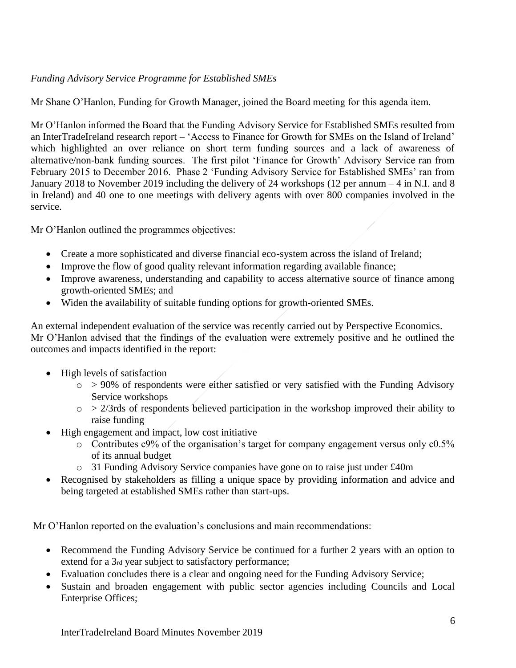# *Funding Advisory Service Programme for Established SMEs*

Mr Shane O'Hanlon, Funding for Growth Manager, joined the Board meeting for this agenda item.

Mr O'Hanlon informed the Board that the Funding Advisory Service for Established SMEs resulted from an InterTradeIreland research report – 'Access to Finance for Growth for SMEs on the Island of Ireland' which highlighted an over reliance on short term funding sources and a lack of awareness of alternative/non-bank funding sources. The first pilot 'Finance for Growth' Advisory Service ran from February 2015 to December 2016. Phase 2 'Funding Advisory Service for Established SMEs' ran from January 2018 to November 2019 including the delivery of 24 workshops (12 per annum – 4 in N.I. and 8 in Ireland) and 40 one to one meetings with delivery agents with over 800 companies involved in the service.

Mr O'Hanlon outlined the programmes objectives:

- Create a more sophisticated and diverse financial eco-system across the island of Ireland;
- Improve the flow of good quality relevant information regarding available finance;
- Improve awareness, understanding and capability to access alternative source of finance among growth-oriented SMEs; and
- Widen the availability of suitable funding options for growth-oriented SMEs.

An external independent evaluation of the service was recently carried out by Perspective Economics. Mr O'Hanlon advised that the findings of the evaluation were extremely positive and he outlined the outcomes and impacts identified in the report:

- High levels of satisfaction
	- $\circ$  > 90% of respondents were either satisfied or very satisfied with the Funding Advisory Service workshops
	- $\circ$  > 2/3rds of respondents believed participation in the workshop improved their ability to raise funding
- High engagement and impact, low cost initiative
	- o Contributes c9% of the organisation's target for company engagement versus only c0.5% of its annual budget
	- o 31 Funding Advisory Service companies have gone on to raise just under £40m
- Recognised by stakeholders as filling a unique space by providing information and advice and being targeted at established SMEs rather than start-ups.

Mr O'Hanlon reported on the evaluation's conclusions and main recommendations:

- Recommend the Funding Advisory Service be continued for a further 2 years with an option to extend for a 3rd year subject to satisfactory performance;
- Evaluation concludes there is a clear and ongoing need for the Funding Advisory Service;
- Sustain and broaden engagement with public sector agencies including Councils and Local Enterprise Offices;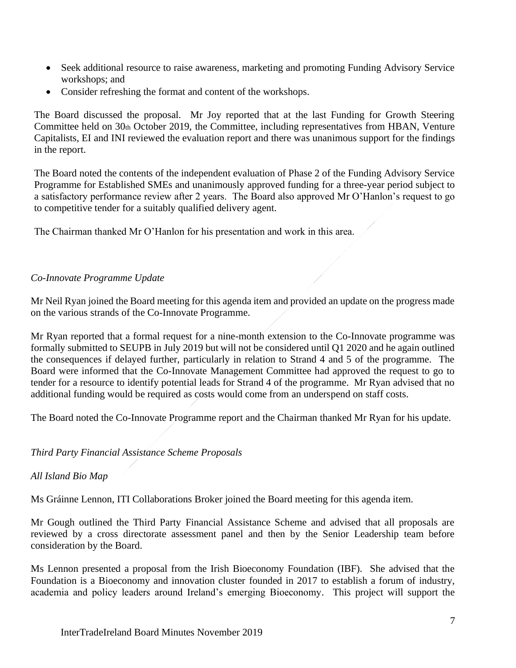- Seek additional resource to raise awareness, marketing and promoting Funding Advisory Service workshops; and
- Consider refreshing the format and content of the workshops.

The Board discussed the proposal. Mr Joy reported that at the last Funding for Growth Steering Committee held on 30th October 2019, the Committee, including representatives from HBAN, Venture Capitalists, EI and INI reviewed the evaluation report and there was unanimous support for the findings in the report.

The Board noted the contents of the independent evaluation of Phase 2 of the Funding Advisory Service Programme for Established SMEs and unanimously approved funding for a three-year period subject to a satisfactory performance review after 2 years. The Board also approved Mr O'Hanlon's request to go to competitive tender for a suitably qualified delivery agent.

The Chairman thanked Mr O'Hanlon for his presentation and work in this area.

### *Co-Innovate Programme Update*

Mr Neil Ryan joined the Board meeting for this agenda item and provided an update on the progress made on the various strands of the Co-Innovate Programme.

Mr Ryan reported that a formal request for a nine-month extension to the Co-Innovate programme was formally submitted to SEUPB in July 2019 but will not be considered until Q1 2020 and he again outlined the consequences if delayed further, particularly in relation to Strand 4 and 5 of the programme. The Board were informed that the Co-Innovate Management Committee had approved the request to go to tender for a resource to identify potential leads for Strand 4 of the programme. Mr Ryan advised that no additional funding would be required as costs would come from an underspend on staff costs.

The Board noted the Co-Innovate Programme report and the Chairman thanked Mr Ryan for his update.

# *Third Party Financial Assistance Scheme Proposals*

# *All Island Bio Map*

Ms Gráinne Lennon, ITI Collaborations Broker joined the Board meeting for this agenda item.

Mr Gough outlined the Third Party Financial Assistance Scheme and advised that all proposals are reviewed by a cross directorate assessment panel and then by the Senior Leadership team before consideration by the Board.

Ms Lennon presented a proposal from the Irish Bioeconomy Foundation (IBF). She advised that the Foundation is a Bioeconomy and innovation cluster founded in 2017 to establish a forum of industry, academia and policy leaders around Ireland's emerging Bioeconomy. This project will support the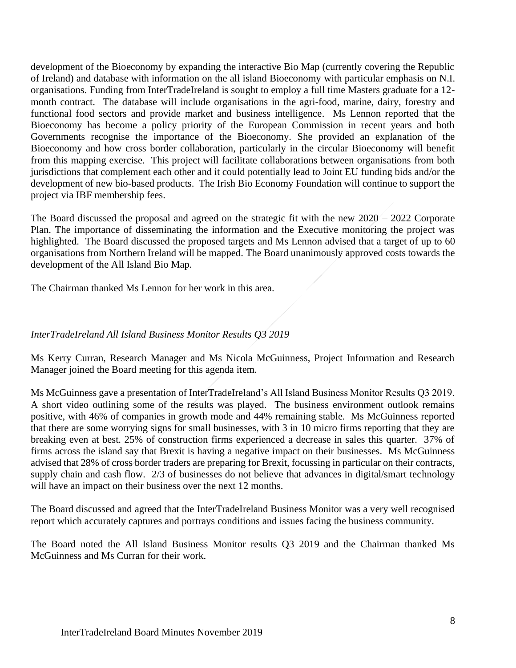development of the Bioeconomy by expanding the interactive Bio Map (currently covering the Republic of Ireland) and database with information on the all island Bioeconomy with particular emphasis on N.I. organisations. Funding from InterTradeIreland is sought to employ a full time Masters graduate for a 12 month contract. The database will include organisations in the agri-food, marine, dairy, forestry and functional food sectors and provide market and business intelligence. Ms Lennon reported that the Bioeconomy has become a policy priority of the European Commission in recent years and both Governments recognise the importance of the Bioeconomy. She provided an explanation of the Bioeconomy and how cross border collaboration, particularly in the circular Bioeconomy will benefit from this mapping exercise. This project will facilitate collaborations between organisations from both jurisdictions that complement each other and it could potentially lead to Joint EU funding bids and/or the development of new bio-based products. The Irish Bio Economy Foundation will continue to support the project via IBF membership fees.

The Board discussed the proposal and agreed on the strategic fit with the new 2020 – 2022 Corporate Plan. The importance of disseminating the information and the Executive monitoring the project was highlighted. The Board discussed the proposed targets and Ms Lennon advised that a target of up to 60 organisations from Northern Ireland will be mapped. The Board unanimously approved costs towards the development of the All Island Bio Map.

The Chairman thanked Ms Lennon for her work in this area.

# *InterTradeIreland All Island Business Monitor Results Q3 2019*

Ms Kerry Curran, Research Manager and Ms Nicola McGuinness, Project Information and Research Manager joined the Board meeting for this agenda item.

Ms McGuinness gave a presentation of InterTradeIreland's All Island Business Monitor Results Q3 2019. A short video outlining some of the results was played. The business environment outlook remains positive, with 46% of companies in growth mode and 44% remaining stable. Ms McGuinness reported that there are some worrying signs for small businesses, with 3 in 10 micro firms reporting that they are breaking even at best. 25% of construction firms experienced a decrease in sales this quarter. 37% of firms across the island say that Brexit is having a negative impact on their businesses. Ms McGuinness advised that 28% of cross border traders are preparing for Brexit, focussing in particular on their contracts, supply chain and cash flow. 2/3 of businesses do not believe that advances in digital/smart technology will have an impact on their business over the next 12 months.

The Board discussed and agreed that the InterTradeIreland Business Monitor was a very well recognised report which accurately captures and portrays conditions and issues facing the business community.

The Board noted the All Island Business Monitor results Q3 2019 and the Chairman thanked Ms McGuinness and Ms Curran for their work.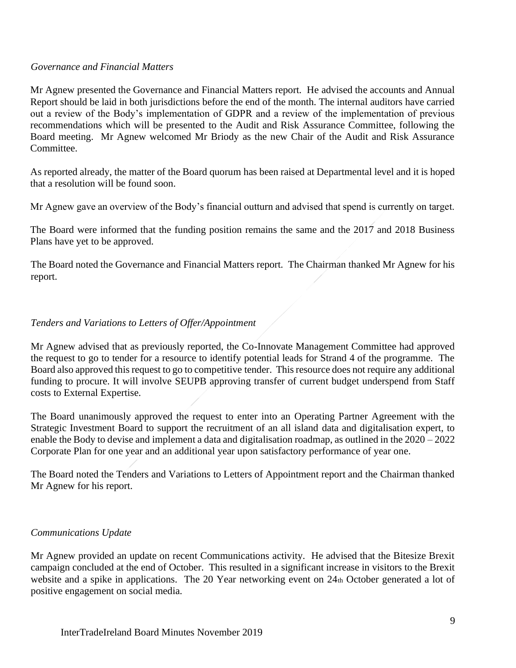### *Governance and Financial Matters*

Mr Agnew presented the Governance and Financial Matters report. He advised the accounts and Annual Report should be laid in both jurisdictions before the end of the month. The internal auditors have carried out a review of the Body's implementation of GDPR and a review of the implementation of previous recommendations which will be presented to the Audit and Risk Assurance Committee, following the Board meeting. Mr Agnew welcomed Mr Briody as the new Chair of the Audit and Risk Assurance Committee.

As reported already, the matter of the Board quorum has been raised at Departmental level and it is hoped that a resolution will be found soon.

Mr Agnew gave an overview of the Body's financial outturn and advised that spend is currently on target.

The Board were informed that the funding position remains the same and the 2017 and 2018 Business Plans have yet to be approved.

The Board noted the Governance and Financial Matters report. The Chairman thanked Mr Agnew for his report.

# *Tenders and Variations to Letters of Offer/Appointment*

Mr Agnew advised that as previously reported, the Co-Innovate Management Committee had approved the request to go to tender for a resource to identify potential leads for Strand 4 of the programme. The Board also approved this request to go to competitive tender. This resource does not require any additional funding to procure. It will involve SEUPB approving transfer of current budget underspend from Staff costs to External Expertise.

The Board unanimously approved the request to enter into an Operating Partner Agreement with the Strategic Investment Board to support the recruitment of an all island data and digitalisation expert, to enable the Body to devise and implement a data and digitalisation roadmap, as outlined in the 2020 – 2022 Corporate Plan for one year and an additional year upon satisfactory performance of year one.

The Board noted the Tenders and Variations to Letters of Appointment report and the Chairman thanked Mr Agnew for his report.

### *Communications Update*

Mr Agnew provided an update on recent Communications activity. He advised that the Bitesize Brexit campaign concluded at the end of October. This resulted in a significant increase in visitors to the Brexit website and a spike in applications. The 20 Year networking event on 24th October generated a lot of positive engagement on social media.